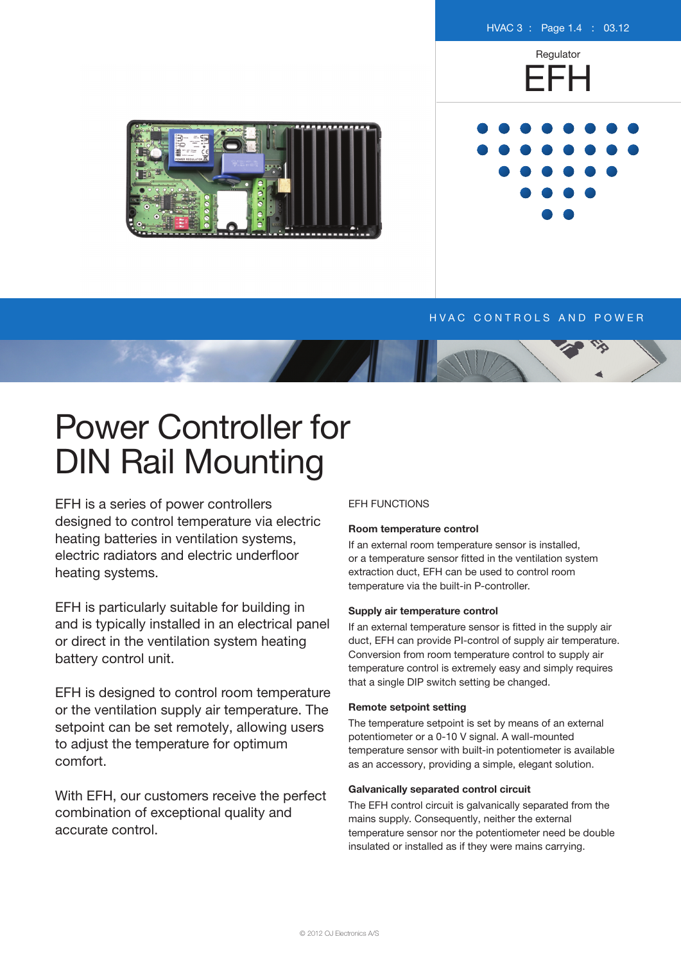

# H V A C CONTROLS AND POWER

# Power Controller for DIN Rail Mounting

EFH is a series of power controllers designed to control temperature via electric heating batteries in ventilation systems, electric radiators and electric underfloor heating systems.

EFH is particularly suitable for building in and is typically installed in an electrical panel or direct in the ventilation system heating battery control unit.

EFH is designed to control room temperature or the ventilation supply air temperature. The setpoint can be set remotely, allowing users to adjust the temperature for optimum comfort.

With EFH, our customers receive the perfect combination of exceptional quality and accurate control.

## EFH FUNCTIONS

#### **Room temperature control**

If an external room temperature sensor is installed, or a temperature sensor fitted in the ventilation system extraction duct, EFH can be used to control room temperature via the built-in P-controller.

#### **Supply air temperature control**

If an external temperature sensor is fitted in the supply air duct, EFH can provide PI-control of supply air temperature. Conversion from room temperature control to supply air temperature control is extremely easy and simply requires that a single DIP switch setting be changed.

## **Remote setpoint setting**

The temperature setpoint is set by means of an external potentiometer or a 0-10 V signal. A wall-mounted temperature sensor with built-in potentiometer is available as an accessory, providing a simple, elegant solution.

### **Galvanically separated control circuit**

The EFH control circuit is galvanically separated from the mains supply. Consequently, neither the external temperature sensor nor the potentiometer need be double insulated or installed as if they were mains carrying.